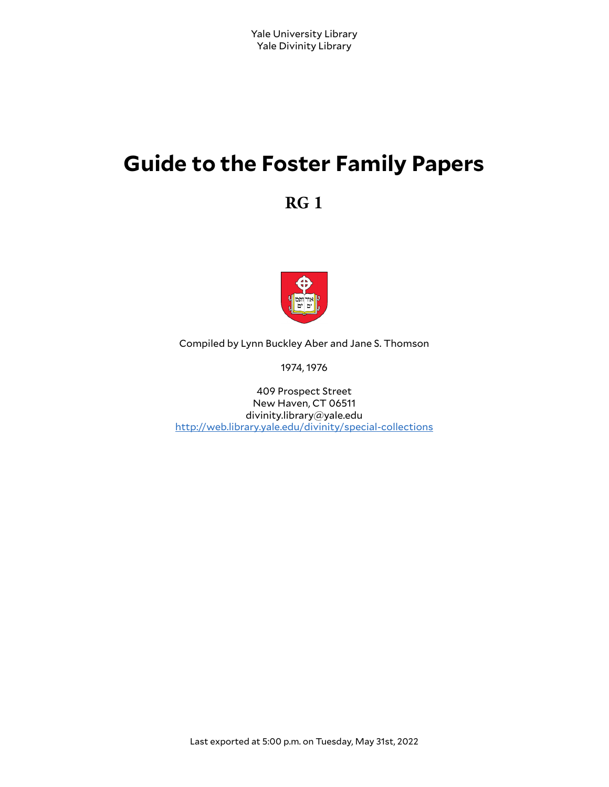# **Guide to the Foster Family Papers**

**RG 1**



Compiled by Lynn Buckley Aber and Jane S. Thomson

1974, 1976

409 Prospect Street New Haven, CT 06511 divinity.library@yale.edu <http://web.library.yale.edu/divinity/special-collections>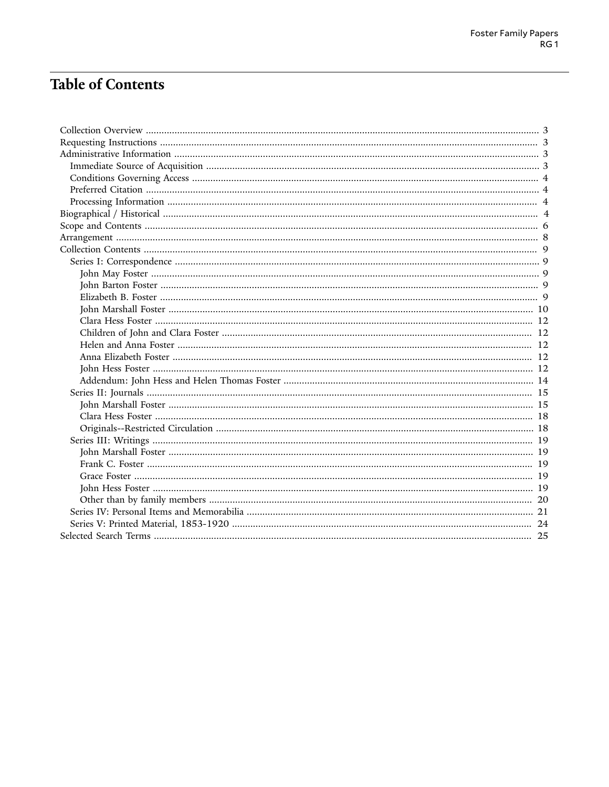# **Table of Contents**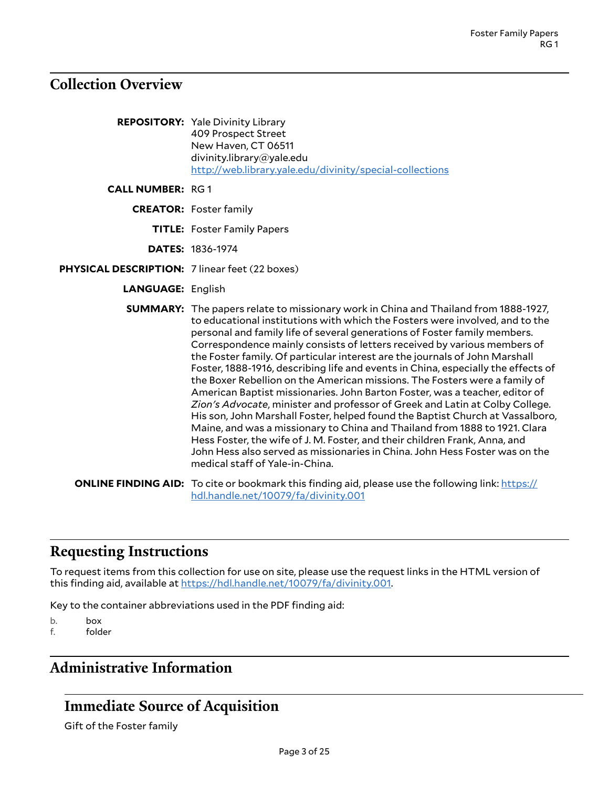# <span id="page-2-0"></span>**Collection Overview**

|                                                | <b>REPOSITORY:</b> Yale Divinity Library<br>409 Prospect Street<br>New Haven, CT 06511<br>divinity.library@yale.edu<br>http://web.library.yale.edu/divinity/special-collections                                                                                                                                                                                                                                                                                                                                                                                                                                                                                                                                                                                                                                                                                                                                                                                                                                                                                                                                     |
|------------------------------------------------|---------------------------------------------------------------------------------------------------------------------------------------------------------------------------------------------------------------------------------------------------------------------------------------------------------------------------------------------------------------------------------------------------------------------------------------------------------------------------------------------------------------------------------------------------------------------------------------------------------------------------------------------------------------------------------------------------------------------------------------------------------------------------------------------------------------------------------------------------------------------------------------------------------------------------------------------------------------------------------------------------------------------------------------------------------------------------------------------------------------------|
| <b>CALL NUMBER: RG1</b>                        |                                                                                                                                                                                                                                                                                                                                                                                                                                                                                                                                                                                                                                                                                                                                                                                                                                                                                                                                                                                                                                                                                                                     |
|                                                | <b>CREATOR: Foster family</b>                                                                                                                                                                                                                                                                                                                                                                                                                                                                                                                                                                                                                                                                                                                                                                                                                                                                                                                                                                                                                                                                                       |
|                                                | <b>TITLE:</b> Foster Family Papers                                                                                                                                                                                                                                                                                                                                                                                                                                                                                                                                                                                                                                                                                                                                                                                                                                                                                                                                                                                                                                                                                  |
|                                                | <b>DATES: 1836-1974</b>                                                                                                                                                                                                                                                                                                                                                                                                                                                                                                                                                                                                                                                                                                                                                                                                                                                                                                                                                                                                                                                                                             |
| PHYSICAL DESCRIPTION: 7 linear feet (22 boxes) |                                                                                                                                                                                                                                                                                                                                                                                                                                                                                                                                                                                                                                                                                                                                                                                                                                                                                                                                                                                                                                                                                                                     |
| <b>LANGUAGE: English</b>                       |                                                                                                                                                                                                                                                                                                                                                                                                                                                                                                                                                                                                                                                                                                                                                                                                                                                                                                                                                                                                                                                                                                                     |
|                                                | <b>SUMMARY:</b> The papers relate to missionary work in China and Thailand from 1888-1927,<br>to educational institutions with which the Fosters were involved, and to the<br>personal and family life of several generations of Foster family members.<br>Correspondence mainly consists of letters received by various members of<br>the Foster family. Of particular interest are the journals of John Marshall<br>Foster, 1888-1916, describing life and events in China, especially the effects of<br>the Boxer Rebellion on the American missions. The Fosters were a family of<br>American Baptist missionaries. John Barton Foster, was a teacher, editor of<br>Zion's Advocate, minister and professor of Greek and Latin at Colby College.<br>His son, John Marshall Foster, helped found the Baptist Church at Vassalboro,<br>Maine, and was a missionary to China and Thailand from 1888 to 1921. Clara<br>Hess Foster, the wife of J. M. Foster, and their children Frank, Anna, and<br>John Hess also served as missionaries in China. John Hess Foster was on the<br>medical staff of Yale-in-China. |
|                                                | <b>ONLINE FINDING AID:</b> To cite or bookmark this finding aid, please use the following link: https://<br>hdl.handle.net/10079/fa/divinity.001                                                                                                                                                                                                                                                                                                                                                                                                                                                                                                                                                                                                                                                                                                                                                                                                                                                                                                                                                                    |

# <span id="page-2-1"></span>**Requesting Instructions**

To request items from this collection for use on site, please use the request links in the HTML version of this finding aid, available at <https://hdl.handle.net/10079/fa/divinity.001>.

Key to the container abbreviations used in the PDF finding aid:

b. box

f. folder

# <span id="page-2-2"></span>**Administrative Information**

# <span id="page-2-3"></span>**Immediate Source of Acquisition**

Gift of the Foster family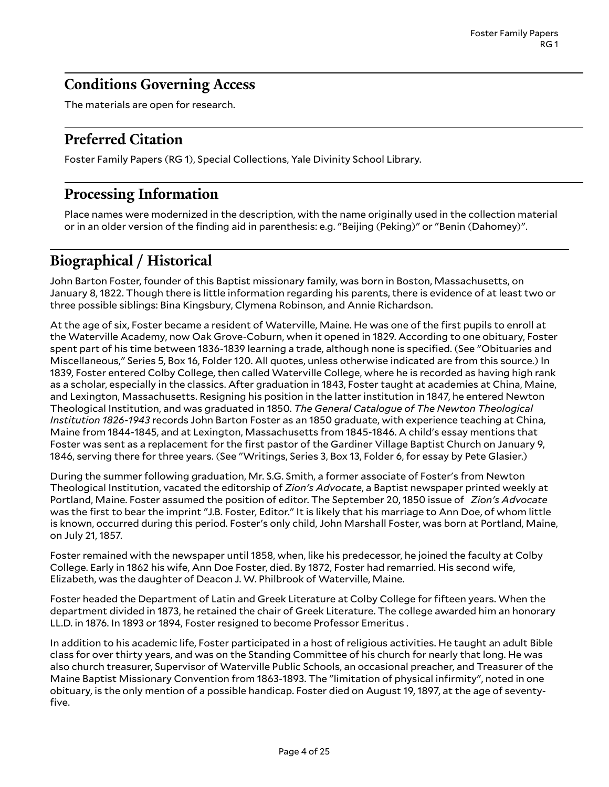### <span id="page-3-0"></span>**Conditions Governing Access**

The materials are open for research.

# <span id="page-3-1"></span>**Preferred Citation**

Foster Family Papers (RG 1), Special Collections, Yale Divinity School Library.

# <span id="page-3-2"></span>**Processing Information**

Place names were modernized in the description, with the name originally used in the collection material or in an older version of the finding aid in parenthesis: e.g. "Beijing (Peking)" or "Benin (Dahomey)".

# <span id="page-3-3"></span>**Biographical / Historical**

John Barton Foster, founder of this Baptist missionary family, was born in Boston, Massachusetts, on January 8, 1822. Though there is little information regarding his parents, there is evidence of at least two or three possible siblings: Bina Kingsbury, Clymena Robinson, and Annie Richardson.

At the age of six, Foster became a resident of Waterville, Maine. He was one of the first pupils to enroll at the Waterville Academy, now Oak Grove-Coburn, when it opened in 1829. According to one obituary, Foster spent part of his time between 1836-1839 learning a trade, although none is specified. (See "Obituaries and Miscellaneous," Series 5, Box 16, Folder 120. All quotes, unless otherwise indicated are from this source.) In 1839, Foster entered Colby College, then called Waterville College, where he is recorded as having high rank as a scholar, especially in the classics. After graduation in 1843, Foster taught at academies at China, Maine, and Lexington, Massachusetts. Resigning his position in the latter institution in 1847, he entered Newton Theological Institution, and was graduated in 1850. *The General Catalogue of The Newton Theological Institution 1826-1943* records John Barton Foster as an 1850 graduate, with experience teaching at China, Maine from 1844-1845, and at Lexington, Massachusetts from 1845-1846. A child's essay mentions that Foster was sent as a replacement for the first pastor of the Gardiner Village Baptist Church on January 9, 1846, serving there for three years. (See "Writings, Series 3, Box 13, Folder 6, for essay by Pete Glasier.)

During the summer following graduation, Mr. S.G. Smith, a former associate of Foster's from Newton Theological Institution, vacated the editorship of *Zion's Advocate*, a Baptist newspaper printed weekly at Portland, Maine. Foster assumed the position of editor. The September 20, 1850 issue of *Zion's Advocate* was the first to bear the imprint "J.B. Foster, Editor." It is likely that his marriage to Ann Doe, of whom little is known, occurred during this period. Foster's only child, John Marshall Foster, was born at Portland, Maine, on July 21, 1857.

Foster remained with the newspaper until 1858, when, like his predecessor, he joined the faculty at Colby College. Early in 1862 his wife, Ann Doe Foster, died. By 1872, Foster had remarried. His second wife, Elizabeth, was the daughter of Deacon J. W. Philbrook of Waterville, Maine.

Foster headed the Department of Latin and Greek Literature at Colby College for fifteen years. When the department divided in 1873, he retained the chair of Greek Literature. The college awarded him an honorary LL.D. in 1876. In 1893 or 1894, Foster resigned to become Professor Emeritus .

In addition to his academic life, Foster participated in a host of religious activities. He taught an adult Bible class for over thirty years, and was on the Standing Committee of his church for nearly that long. He was also church treasurer, Supervisor of Waterville Public Schools, an occasional preacher, and Treasurer of the Maine Baptist Missionary Convention from 1863-1893. The "limitation of physical infirmity", noted in one obituary, is the only mention of a possible handicap. Foster died on August 19, 1897, at the age of seventyfive.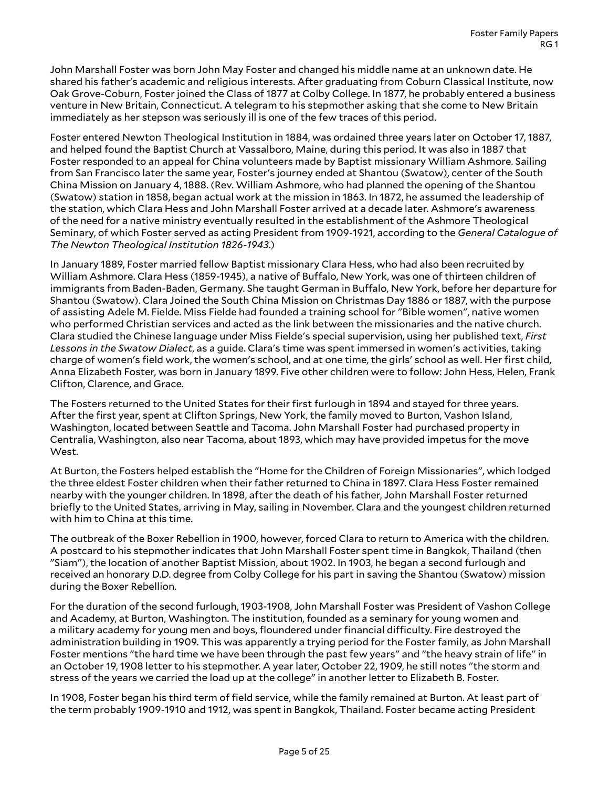John Marshall Foster was born John May Foster and changed his middle name at an unknown date. He shared his father's academic and religious interests. After graduating from Coburn Classical Institute, now Oak Grove-Coburn, Foster joined the Class of 1877 at Colby College. In 1877, he probably entered a business venture in New Britain, Connecticut. A telegram to his stepmother asking that she come to New Britain immediately as her stepson was seriously ill is one of the few traces of this period.

Foster entered Newton Theological Institution in 1884, was ordained three years later on October 17, 1887, and helped found the Baptist Church at Vassalboro, Maine, during this period. It was also in 1887 that Foster responded to an appeal for China volunteers made by Baptist missionary William Ashmore. Sailing from San Francisco later the same year, Foster's journey ended at Shantou (Swatow), center of the South China Mission on January 4, 1888. (Rev. William Ashmore, who had planned the opening of the Shantou (Swatow) station in 1858, began actual work at the mission in 1863. In 1872, he assumed the leadership of the station, which Clara Hess and John Marshall Foster arrived at a decade later. Ashmore's awareness of the need for a native ministry eventually resulted in the establishment of the Ashmore Theological Seminary, of which Foster served as acting President from 1909-1921, according to the *General Catalogue of The Newton Theological Institution 1826-1943*.)

In January 1889, Foster married fellow Baptist missionary Clara Hess, who had also been recruited by William Ashmore. Clara Hess (1859-1945), a native of Buffalo, New York, was one of thirteen children of immigrants from Baden-Baden, Germany. She taught German in Buffalo, New York, before her departure for Shantou (Swatow). Clara Joined the South China Mission on Christmas Day 1886 or 1887, with the purpose of assisting Adele M. Fielde. Miss Fielde had founded a training school for "Bible women", native women who performed Christian services and acted as the link between the missionaries and the native church. Clara studied the Chinese language under Miss Fielde's special supervision, using her published text, *First Lessons in the Swatow Dialect*, as a guide. Clara's time was spent immersed in women's activities, taking charge of women's field work, the women's school, and at one time, the girls' school as well. Her first child, Anna Elizabeth Foster, was born in January 1899. Five other children were to follow: John Hess, Helen, Frank Clifton, Clarence, and Grace.

The Fosters returned to the United States for their first furlough in 1894 and stayed for three years. After the first year, spent at Clifton Springs, New York, the family moved to Burton, Vashon Island, Washington, located between Seattle and Tacoma. John Marshall Foster had purchased property in Centralia, Washington, also near Tacoma, about 1893, which may have provided impetus for the move West.

At Burton, the Fosters helped establish the "Home for the Children of Foreign Missionaries", which lodged the three eldest Foster children when their father returned to China in 1897. Clara Hess Foster remained nearby with the younger children. In 1898, after the death of his father, John Marshall Foster returned briefly to the United States, arriving in May, sailing in November. Clara and the youngest children returned with him to China at this time.

The outbreak of the Boxer Rebellion in 1900, however, forced Clara to return to America with the children. A postcard to his stepmother indicates that John Marshall Foster spent time in Bangkok, Thailand (then "Siam"), the location of another Baptist Mission, about 1902. In 1903, he began a second furlough and received an honorary D.D. degree from Colby College for his part in saving the Shantou (Swatow) mission during the Boxer Rebellion.

For the duration of the second furlough, 1903-1908, John Marshall Foster was President of Vashon College and Academy, at Burton, Washington. The institution, founded as a seminary for young women and a military academy for young men and boys, floundered under financial difficulty. Fire destroyed the administration building in 1909. This was apparently a trying period for the Foster family, as John Marshall Foster mentions "the hard time we have been through the past few years" and "the heavy strain of life" in an October 19, 1908 letter to his stepmother. A year later, October 22, 1909, he still notes "the storm and stress of the years we carried the load up at the college" in another letter to Elizabeth B. Foster.

In 1908, Foster began his third term of field service, while the family remained at Burton. At least part of the term probably 1909-1910 and 1912, was spent in Bangkok, Thailand. Foster became acting President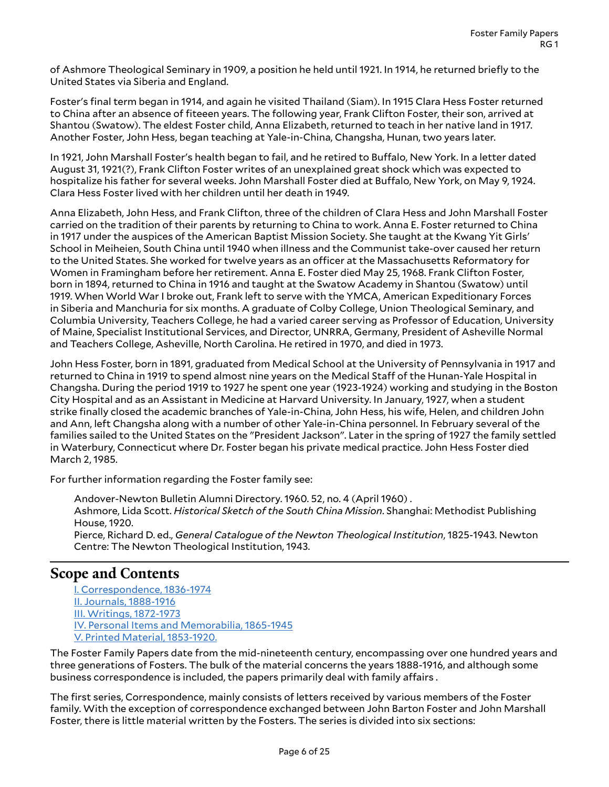of Ashmore Theological Seminary in 1909, a position he held until 1921. In 1914, he returned briefly to the United States via Siberia and England.

Foster's final term began in 1914, and again he visited Thailand (Siam). In 1915 Clara Hess Foster returned to China after an absence of fiteeen years. The following year, Frank Clifton Foster, their son, arrived at Shantou (Swatow). The eldest Foster child, Anna Elizabeth, returned to teach in her native land in 1917. Another Foster, John Hess, began teaching at Yale-in-China, Changsha, Hunan, two years later.

In 1921, John Marshall Foster's health began to fail, and he retired to Buffalo, New York. In a letter dated August 31, 1921(?), Frank Clifton Foster writes of an unexplained great shock which was expected to hospitalize his father for several weeks. John Marshall Foster died at Buffalo, New York, on May 9, 1924. Clara Hess Foster lived with her children until her death in 1949.

Anna Elizabeth, John Hess, and Frank Clifton, three of the children of Clara Hess and John Marshall Foster carried on the tradition of their parents by returning to China to work. Anna E. Foster returned to China in 1917 under the auspices of the American Baptist Mission Society. She taught at the Kwang Yit Girls' School in Meiheien, South China until 1940 when illness and the Communist take-over caused her return to the United States. She worked for twelve years as an officer at the Massachusetts Reformatory for Women in Framingham before her retirement. Anna E. Foster died May 25, 1968. Frank Clifton Foster, born in 1894, returned to China in 1916 and taught at the Swatow Academy in Shantou (Swatow) until 1919. When World War I broke out, Frank left to serve with the YMCA, American Expeditionary Forces in Siberia and Manchuria for six months. A graduate of Colby College, Union Theological Seminary, and Columbia University, Teachers College, he had a varied career serving as Professor of Education, University of Maine, Specialist Institutional Services, and Director, UNRRA, Germany, President of Asheville Normal and Teachers College, Asheville, North Carolina. He retired in 1970, and died in 1973.

John Hess Foster, born in 1891, graduated from Medical School at the University of Pennsylvania in 1917 and returned to China in 1919 to spend almost nine years on the Medical Staff of the Hunan-Yale Hospital in Changsha. During the period 1919 to 1927 he spent one year (1923-1924) working and studying in the Boston City Hospital and as an Assistant in Medicine at Harvard University. In January, 1927, when a student strike finally closed the academic branches of Yale-in-China, John Hess, his wife, Helen, and children John and Ann, left Changsha along with a number of other Yale-in-China personnel. In February several of the families sailed to the United States on the "President Jackson". Later in the spring of 1927 the family settled in Waterbury, Connecticut where Dr. Foster began his private medical practice. John Hess Foster died March 2, 1985.

For further information regarding the Foster family see:

Andover-Newton Bulletin Alumni Directory. 1960. 52, no. 4 (April 1960) . Ashmore, Lida Scott. *Historical Sketch of the South China Mission*. Shanghai: Methodist Publishing House, 1920. Pierce, Richard D. ed., *General Catalogue of the Newton Theological Institution*, 1825-1943. Newton Centre: The Newton Theological Institution, 1943.

### <span id="page-5-0"></span>**Scope and Contents**

I. [Correspondence,](#page-8-5) 1836-1974 II. Journals, [1888-1916](#page-13-1) III. Writings, [1872-1973](#page-20-1) IV. Personal Items and [Memorabilia,](#page-20-2) 1865-1945 V. Printed Material, [1853-1920.](#page-23-1)

The Foster Family Papers date from the mid-nineteenth century, encompassing over one hundred years and three generations of Fosters. The bulk of the material concerns the years 1888-1916, and although some business correspondence is included, the papers primarily deal with family affairs.

The first series, Correspondence, mainly consists of letters received by various members of the Foster family. With the exception of correspondence exchanged between John Barton Foster and John Marshall Foster, there is little material written by the Fosters. The series is divided into six sections: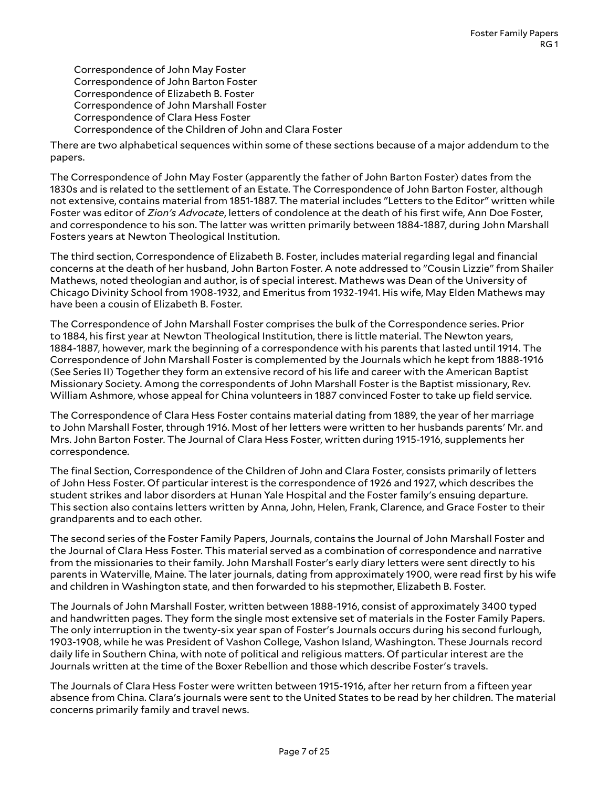Correspondence of John May Foster Correspondence of John Barton Foster Correspondence of Elizabeth B. Foster Correspondence of John Marshall Foster Correspondence of Clara Hess Foster Correspondence of the Children of John and Clara Foster

There are two alphabetical sequences within some of these sections because of a major addendum to the papers.

The Correspondence of John May Foster (apparently the father of John Barton Foster) dates from the 1830s and is related to the settlement of an Estate. The Correspondence of John Barton Foster, although not extensive, contains material from 1851-1887. The material includes "Letters to the Editor" written while Foster was editor of *Zion's Advocate*, letters of condolence at the death of his first wife, Ann Doe Foster, and correspondence to his son. The latter was written primarily between 1884-1887, during John Marshall Fosters years at Newton Theological Institution.

The third section, Correspondence of Elizabeth B. Foster, includes material regarding legal and financial concerns at the death of her husband, John Barton Foster. A note addressed to "Cousin Lizzie" from Shailer Mathews, noted theologian and author, is of special interest. Mathews was Dean of the University of Chicago Divinity School from 1908-1932, and Emeritus from 1932-1941. His wife, May Elden Mathews may have been a cousin of Elizabeth B. Foster.

The Correspondence of John Marshall Foster comprises the bulk of the Correspondence series. Prior to 1884, his first year at Newton Theological Institution, there is little material. The Newton years, 1884-1887, however, mark the beginning of a correspondence with his parents that lasted until 1914. The Correspondence of John Marshall Foster is complemented by the Journals which he kept from 1888-1916 (See Series II) Together they form an extensive record of his life and career with the American Baptist Missionary Society. Among the correspondents of John Marshall Foster is the Baptist missionary, Rev. William Ashmore, whose appeal for China volunteers in 1887 convinced Foster to take up field service.

The Correspondence of Clara Hess Foster contains material dating from 1889, the year of her marriage to John Marshall Foster, through 1916. Most of her letters were written to her husbands parents' Mr. and Mrs. John Barton Foster. The Journal of Clara Hess Foster, written during 1915-1916, supplements her correspondence.

The final Section, Correspondence of the Children of John and Clara Foster, consists primarily of letters of John Hess Foster. Of particular interest is the correspondence of 1926 and 1927, which describes the student strikes and labor disorders at Hunan Yale Hospital and the Foster family's ensuing departure. This section also contains letters written by Anna, John, Helen, Frank, Clarence, and Grace Foster to their grandparents and to each other.

The second series of the Foster Family Papers, Journals, contains the Journal of John Marshall Foster and the Journal of Clara Hess Foster. This material served as a combination of correspondence and narrative from the missionaries to their family. John Marshall Foster's early diary letters were sent directly to his parents in Waterville, Maine. The later journals, dating from approximately 1900, were read first by his wife and children in Washington state, and then forwarded to his stepmother, Elizabeth B. Foster.

The Journals of John Marshall Foster, written between 1888-1916, consist of approximately 3400 typed and handwritten pages. They form the single most extensive set of materials in the Foster Family Papers. The only interruption in the twenty-six year span of Foster's Journals occurs during his second furlough, 1903-1908, while he was President of Vashon College, Vashon Island, Washington. These Journals record daily life in Southern China, with note of political and religious matters. Of particular interest are the Journals written at the time of the Boxer Rebellion and those which describe Foster's travels.

The Journals of Clara Hess Foster were written between 1915-1916, after her return from a fifteen year absence from China. Clara's journals were sent to the United States to be read by her children. The material concerns primarily family and travel news.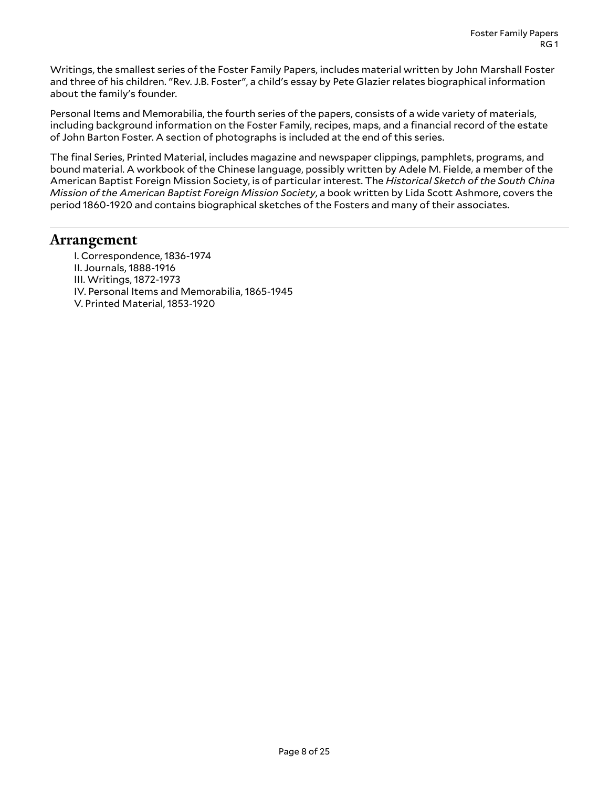Writings, the smallest series of the Foster Family Papers, includes material written by John Marshall Foster and three of his children. "Rev. J.B. Foster", a child's essay by Pete Glazier relates biographical information about the family's founder.

Personal Items and Memorabilia, the fourth series of the papers, consists of a wide variety of materials, including background information on the Foster Family, recipes, maps, and a financial record of the estate of John Barton Foster. A section of photographs is included at the end of this series.

The final Series, Printed Material, includes magazine and newspaper clippings, pamphlets, programs, and bound material. A workbook of the Chinese language, possibly written by Adele M. Fielde, a member of the American Baptist Foreign Mission Society, is of particular interest. The *Historical Sketch of the South China Mission of the American Baptist Foreign Mission Society*, a book written by Lida Scott Ashmore, covers the period 1860-1920 and contains biographical sketches of the Fosters and many of their associates.

### <span id="page-7-0"></span>**Arrangement**

I. Correspondence, 1836-1974 II. Journals, 1888-1916 III. Writings, 1872-1973 IV. Personal Items and Memorabilia, 1865-1945 V. Printed Material, 1853-1920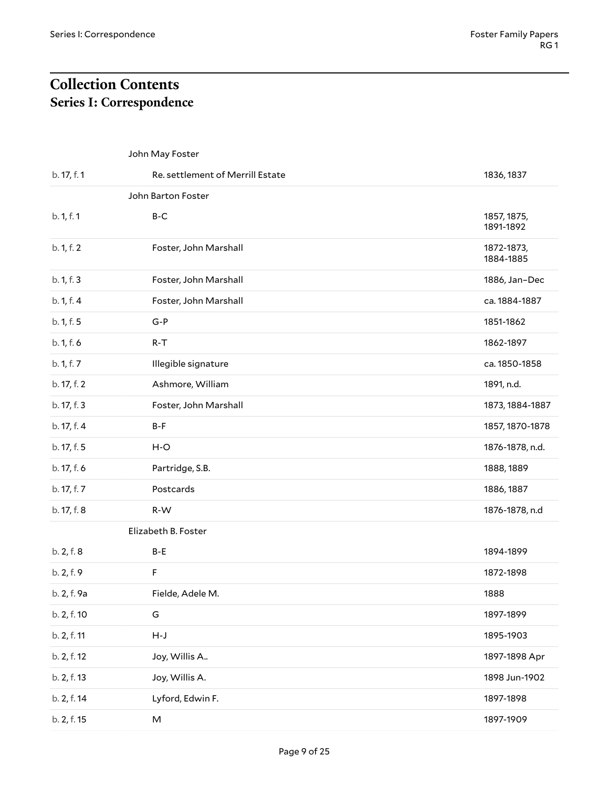# <span id="page-8-1"></span><span id="page-8-0"></span>**Collection Contents Series I: Correspondence**

<span id="page-8-5"></span><span id="page-8-4"></span><span id="page-8-3"></span><span id="page-8-2"></span>

|             | John May Foster                  |                          |
|-------------|----------------------------------|--------------------------|
| b. 17, f. 1 | Re. settlement of Merrill Estate | 1836, 1837               |
|             | John Barton Foster               |                          |
| b. 1, f. 1  | $B-C$                            | 1857, 1875,<br>1891-1892 |
| b. 1, f. 2  | Foster, John Marshall            | 1872-1873,<br>1884-1885  |
| b. 1, f. 3  | Foster, John Marshall            | 1886, Jan-Dec            |
| b. 1, f. 4  | Foster, John Marshall            | ca. 1884-1887            |
| b. 1, f. 5  | $G-P$                            | 1851-1862                |
| b. 1, f. 6  | $R-T$                            | 1862-1897                |
| b. 1, f. 7  | Illegible signature              | ca. 1850-1858            |
| b. 17, f. 2 | Ashmore, William                 | 1891, n.d.               |
| b. 17, f. 3 | Foster, John Marshall            | 1873, 1884-1887          |
| b. 17, f. 4 | B-F                              | 1857, 1870-1878          |
| b. 17, f. 5 | $H-O$                            | 1876-1878, n.d.          |
| b. 17, f. 6 | Partridge, S.B.                  | 1888, 1889               |
| b. 17, f. 7 | Postcards                        | 1886, 1887               |
| b. 17, f. 8 | R-W                              | 1876-1878, n.d           |
|             | Elizabeth B. Foster              |                          |
| b. 2, f. 8  | B-E                              | 1894-1899                |
| b. 2, f. 9  | F                                | 1872-1898                |
| b. 2, f. 9a | Fielde, Adele M.                 | 1888                     |
| b. 2, f. 10 | G                                | 1897-1899                |
| b. 2, f. 11 | $H-J$                            | 1895-1903                |
| b. 2, f. 12 | Joy, Willis A                    | 1897-1898 Apr            |
| b. 2, f. 13 | Joy, Willis A.                   | 1898 Jun-1902            |
| b. 2, f. 14 | Lyford, Edwin F.                 | 1897-1898                |
| b. 2, f. 15 | M                                | 1897-1909                |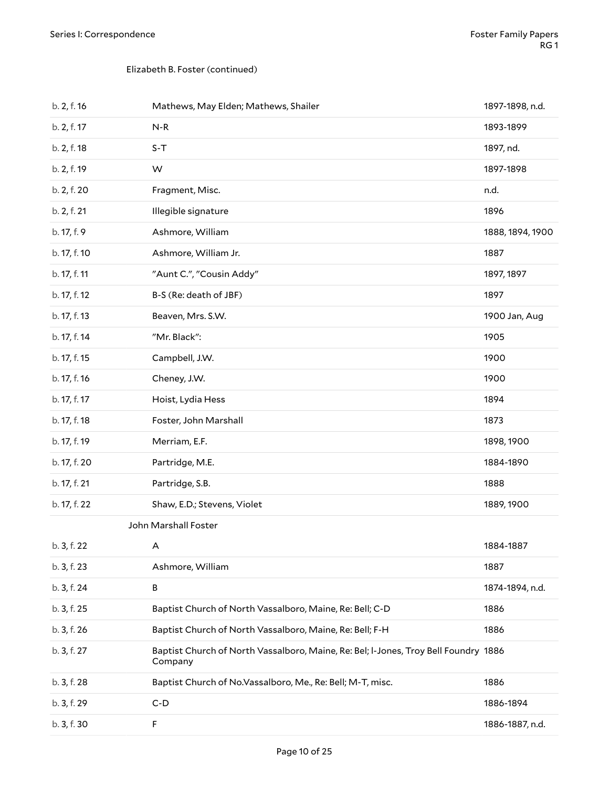#### Elizabeth B. Foster (continued)

<span id="page-9-0"></span>

| b. 2, f. 16  | Mathews, May Elden; Mathews, Shailer                                                           | 1897-1898, n.d.  |
|--------------|------------------------------------------------------------------------------------------------|------------------|
| b. 2, f. 17  | $N-R$                                                                                          | 1893-1899        |
| b. 2, f. 18  | $S-T$                                                                                          | 1897, nd.        |
| b. 2, f. 19  | W                                                                                              | 1897-1898        |
| b. 2, f. 20  | Fragment, Misc.                                                                                | n.d.             |
| b. 2, f. 21  | Illegible signature                                                                            | 1896             |
| b. 17, f. 9  | Ashmore, William                                                                               | 1888, 1894, 1900 |
| b. 17, f. 10 | Ashmore, William Jr.                                                                           | 1887             |
| b. 17, f. 11 | "Aunt C.", "Cousin Addy"                                                                       | 1897, 1897       |
| b. 17, f. 12 | B-S (Re: death of JBF)                                                                         | 1897             |
| b. 17, f. 13 | Beaven, Mrs. S.W.                                                                              | 1900 Jan, Aug    |
| b. 17, f. 14 | "Mr. Black":                                                                                   | 1905             |
| b. 17, f. 15 | Campbell, J.W.                                                                                 | 1900             |
| b. 17, f. 16 | Cheney, J.W.                                                                                   | 1900             |
| b. 17, f. 17 | Hoist, Lydia Hess                                                                              | 1894             |
| b. 17, f. 18 | Foster, John Marshall                                                                          | 1873             |
| b. 17, f. 19 | Merriam, E.F.                                                                                  | 1898, 1900       |
| b. 17, f. 20 | Partridge, M.E.                                                                                | 1884-1890        |
| b. 17, f. 21 | Partridge, S.B.                                                                                | 1888             |
| b. 17, f. 22 | Shaw, E.D.; Stevens, Violet                                                                    | 1889, 1900       |
|              | John Marshall Foster                                                                           |                  |
| b. 3, f. 22  | A                                                                                              | 1884-1887        |
| b. 3, f. 23  | Ashmore, William                                                                               | 1887             |
| b. 3, f. 24  | B                                                                                              | 1874-1894, n.d.  |
| b. 3, f. 25  | Baptist Church of North Vassalboro, Maine, Re: Bell; C-D                                       | 1886             |
| b. 3, f. 26  | Baptist Church of North Vassalboro, Maine, Re: Bell; F-H                                       | 1886             |
| b. 3, f. 27  | Baptist Church of North Vassalboro, Maine, Re: Bel; I-Jones, Troy Bell Foundry 1886<br>Company |                  |
| b. 3, f. 28  | Baptist Church of No.Vassalboro, Me., Re: Bell; M-T, misc.                                     | 1886             |
| b. 3, f. 29  | $C-D$                                                                                          | 1886-1894        |
| b. 3, f. 30  | F                                                                                              | 1886-1887, n.d.  |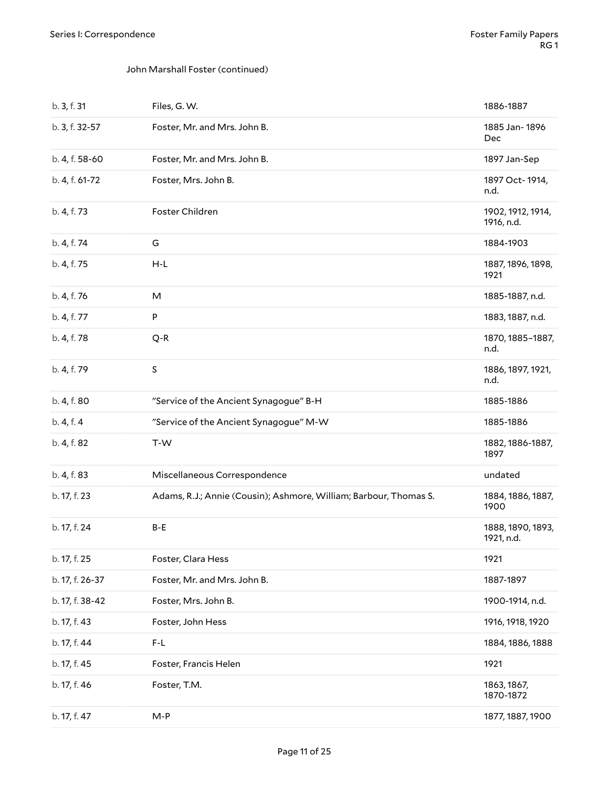#### John Marshall Foster (continued)

| b. 3, f. 31     | Files, G. W.                                                      | 1886-1887                       |
|-----------------|-------------------------------------------------------------------|---------------------------------|
| b. 3, f. 32-57  | Foster, Mr. and Mrs. John B.                                      | 1885 Jan-1896<br>Dec            |
| b. 4, f. 58-60  | Foster, Mr. and Mrs. John B.                                      | 1897 Jan-Sep                    |
| b. 4, f. 61-72  | Foster, Mrs. John B.                                              | 1897 Oct-1914,<br>n.d.          |
| b. 4, f. 73     | Foster Children                                                   | 1902, 1912, 1914,<br>1916, n.d. |
| b. 4, f. 74     | G                                                                 | 1884-1903                       |
| b. 4, f. 75     | H-L                                                               | 1887, 1896, 1898,<br>1921       |
| b. 4, f. 76     | M                                                                 | 1885-1887, n.d.                 |
| b. 4, f. 77     | P                                                                 | 1883, 1887, n.d.                |
| b. 4, f. 78     | $Q-R$                                                             | 1870, 1885-1887,<br>n.d.        |
| b. 4, f. 79     | $\sf S$                                                           | 1886, 1897, 1921,<br>n.d.       |
| b. 4, f. 80     | "Service of the Ancient Synagogue" B-H                            | 1885-1886                       |
| b. 4, f. 4      | "Service of the Ancient Synagogue" M-W                            | 1885-1886                       |
| b. 4, f. 82     | T-W                                                               | 1882, 1886-1887,<br>1897        |
| b. 4, f. 83     | Miscellaneous Correspondence                                      | undated                         |
| b. 17, f. 23    | Adams, R.J.; Annie (Cousin); Ashmore, William; Barbour, Thomas S. | 1884, 1886, 1887,<br>1900       |
| b. 17, f. 24    | B-E                                                               | 1888, 1890, 1893,<br>1921, n.d. |
| b. 17, f. 25    | Foster, Clara Hess                                                | 1921                            |
| b. 17, f. 26-37 | Foster, Mr. and Mrs. John B.                                      | 1887-1897                       |
| b. 17, f. 38-42 | Foster, Mrs. John B.                                              | 1900-1914, n.d.                 |
| b. 17, f. 43    | Foster, John Hess                                                 | 1916, 1918, 1920                |
| b. 17, f. 44    | $F-L$                                                             | 1884, 1886, 1888                |
| b. 17, f. 45    | Foster, Francis Helen                                             | 1921                            |
| b. 17, f. 46    | Foster, T.M.                                                      | 1863, 1867,<br>1870-1872        |
|                 |                                                                   |                                 |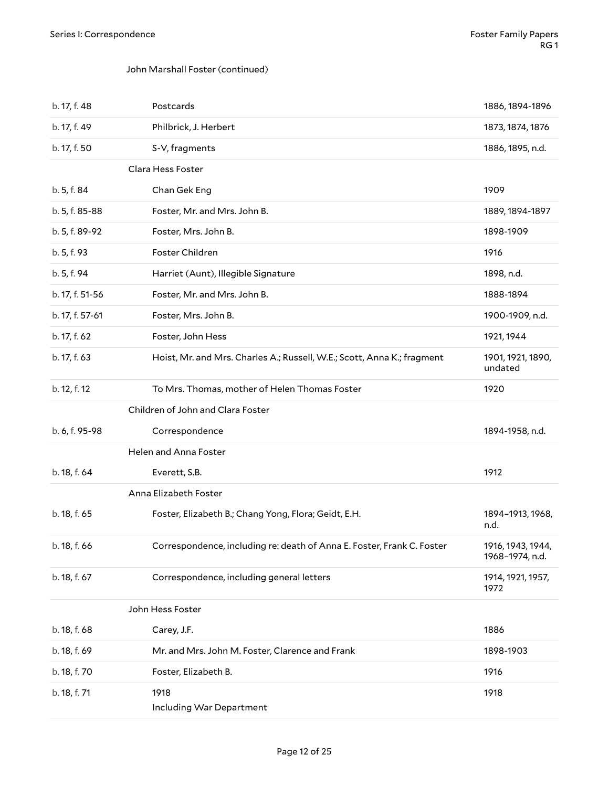#### <span id="page-11-0"></span>John Marshall Foster (continued)

<span id="page-11-4"></span><span id="page-11-3"></span><span id="page-11-2"></span><span id="page-11-1"></span>

| b. 17, f. 48    | Postcards                                                               | 1886, 1894-1896                      |
|-----------------|-------------------------------------------------------------------------|--------------------------------------|
| b. 17, f. 49    | Philbrick, J. Herbert                                                   | 1873, 1874, 1876                     |
| b. 17, f. 50    | S-V, fragments                                                          | 1886, 1895, n.d.                     |
|                 | Clara Hess Foster                                                       |                                      |
| b. 5, f. 84     | Chan Gek Eng                                                            | 1909                                 |
| b. 5, f. 85-88  | Foster, Mr. and Mrs. John B.                                            | 1889, 1894-1897                      |
| b. 5, f. 89-92  | Foster, Mrs. John B.                                                    | 1898-1909                            |
| b. 5, f. 93     | Foster Children                                                         | 1916                                 |
| b. 5, f. 94     | Harriet (Aunt), Illegible Signature                                     | 1898, n.d.                           |
| b. 17, f. 51-56 | Foster, Mr. and Mrs. John B.                                            | 1888-1894                            |
| b. 17, f. 57-61 | Foster, Mrs. John B.                                                    | 1900-1909, n.d.                      |
| b. 17, f. 62    | Foster, John Hess                                                       | 1921, 1944                           |
| b. 17, f. 63    | Hoist, Mr. and Mrs. Charles A.; Russell, W.E.; Scott, Anna K.; fragment | 1901, 1921, 1890,<br>undated         |
| b. 12, f. 12    | To Mrs. Thomas, mother of Helen Thomas Foster                           | 1920                                 |
|                 | Children of John and Clara Foster                                       |                                      |
| b. 6, f. 95-98  | Correspondence                                                          | 1894-1958, n.d.                      |
|                 | Helen and Anna Foster                                                   |                                      |
| b. 18, f. 64    | Everett, S.B.                                                           | 1912                                 |
|                 | Anna Elizabeth Foster                                                   |                                      |
| b. 18, f. 65    | Foster, Elizabeth B.; Chang Yong, Flora; Geidt, E.H.                    | 1894-1913, 1968,<br>n.d.             |
| b. 18, f. 66    | Correspondence, including re: death of Anna E. Foster, Frank C. Foster  | 1916, 1943, 1944,<br>1968-1974, n.d. |
| b. 18, f. 67    | Correspondence, including general letters                               | 1914, 1921, 1957,<br>1972            |
|                 | John Hess Foster                                                        |                                      |
| b. 18, f. 68    | Carey, J.F.                                                             | 1886                                 |
| b. 18, f. 69    | Mr. and Mrs. John M. Foster, Clarence and Frank                         | 1898-1903                            |
| b. 18, f. 70    | Foster, Elizabeth B.                                                    | 1916                                 |
| b. 18, f. 71    | 1918<br>Including War Department                                        | 1918                                 |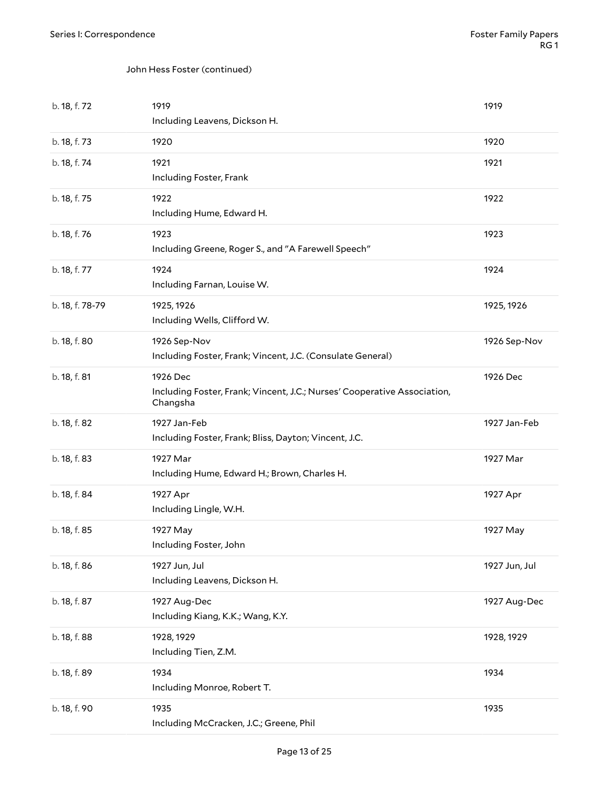#### John Hess Foster (continued)

| b. 18, f. 72    | 1919<br>Including Leavens, Dickson H.                                                            | 1919          |
|-----------------|--------------------------------------------------------------------------------------------------|---------------|
| b. 18, f. 73    | 1920                                                                                             | 1920          |
| b. 18, f. 74    | 1921<br>Including Foster, Frank                                                                  | 1921          |
| b. 18, f. 75    | 1922<br>Including Hume, Edward H.                                                                | 1922          |
| b. 18, f. 76    | 1923<br>Including Greene, Roger S., and "A Farewell Speech"                                      | 1923          |
| b. 18, f. 77    | 1924<br>Including Farnan, Louise W.                                                              | 1924          |
| b. 18, f. 78-79 | 1925, 1926<br>Including Wells, Clifford W.                                                       | 1925, 1926    |
| b. 18, f. 80    | 1926 Sep-Nov<br>Including Foster, Frank; Vincent, J.C. (Consulate General)                       | 1926 Sep-Nov  |
| b. 18, f. 81    | 1926 Dec<br>Including Foster, Frank; Vincent, J.C.; Nurses' Cooperative Association,<br>Changsha | 1926 Dec      |
| b. 18, f. 82    | 1927 Jan-Feb                                                                                     | 1927 Jan-Feb  |
|                 | Including Foster, Frank; Bliss, Dayton; Vincent, J.C.                                            |               |
| b. 18, f. 83    | 1927 Mar<br>Including Hume, Edward H.; Brown, Charles H.                                         | 1927 Mar      |
| b. 18, f. 84    | 1927 Apr<br>Including Lingle, W.H.                                                               | 1927 Apr      |
| b. 18, f. 85    | 1927 May<br>Including Foster, John                                                               | 1927 May      |
| b. 18, f. 86    | 1927 Jun, Jul<br>Including Leavens, Dickson H.                                                   | 1927 Jun, Jul |
| b. 18, f. 87    | 1927 Aug-Dec<br>Including Kiang, K.K.; Wang, K.Y.                                                | 1927 Aug-Dec  |
| b. 18, f. 88    | 1928, 1929<br>Including Tien, Z.M.                                                               | 1928, 1929    |
| b. 18, f. 89    | 1934<br>Including Monroe, Robert T.                                                              | 1934          |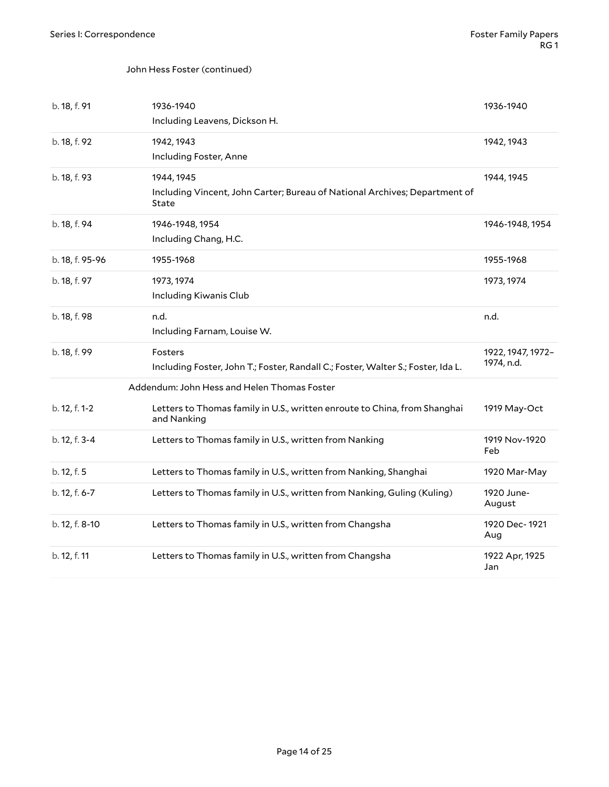#### John Hess Foster (continued)

<span id="page-13-1"></span><span id="page-13-0"></span>

| b. 18, f. 91    | 1936-1940<br>Including Leavens, Dickson H.                                                        | 1936-1940                       |
|-----------------|---------------------------------------------------------------------------------------------------|---------------------------------|
| b. 18, f. 92    | 1942, 1943<br>Including Foster, Anne                                                              | 1942, 1943                      |
| b. 18, f. 93    | 1944, 1945<br>Including Vincent, John Carter; Bureau of National Archives; Department of<br>State | 1944, 1945                      |
| b. 18, f. 94    | 1946-1948, 1954<br>Including Chang, H.C.                                                          | 1946-1948, 1954                 |
| b. 18, f. 95-96 | 1955-1968                                                                                         | 1955-1968                       |
| b. 18, f. 97    | 1973, 1974<br>Including Kiwanis Club                                                              | 1973, 1974                      |
| b. 18, f. 98    | n.d.<br>Including Farnam, Louise W.                                                               | n.d.                            |
| b. 18, f. 99    | Fosters<br>Including Foster, John T.; Foster, Randall C.; Foster, Walter S.; Foster, Ida L.       | 1922, 1947, 1972-<br>1974, n.d. |
|                 | Addendum: John Hess and Helen Thomas Foster                                                       |                                 |
| b. 12, f. 1-2   | Letters to Thomas family in U.S., written enroute to China, from Shanghai<br>and Nanking          | 1919 May-Oct                    |
| b. 12, f. 3-4   | Letters to Thomas family in U.S., written from Nanking                                            | 1919 Nov-1920<br>Feb            |
| b. 12, f. 5     | Letters to Thomas family in U.S., written from Nanking, Shanghai                                  | 1920 Mar-May                    |
| b. 12, f. 6-7   | Letters to Thomas family in U.S., written from Nanking, Guling (Kuling)                           | 1920 June-<br>August            |
| b. 12, f. 8-10  | Letters to Thomas family in U.S., written from Changsha                                           | 1920 Dec-1921<br>Aug            |
| b. 12, f. 11    | Letters to Thomas family in U.S., written from Changsha                                           | 1922 Apr, 1925<br>Jan           |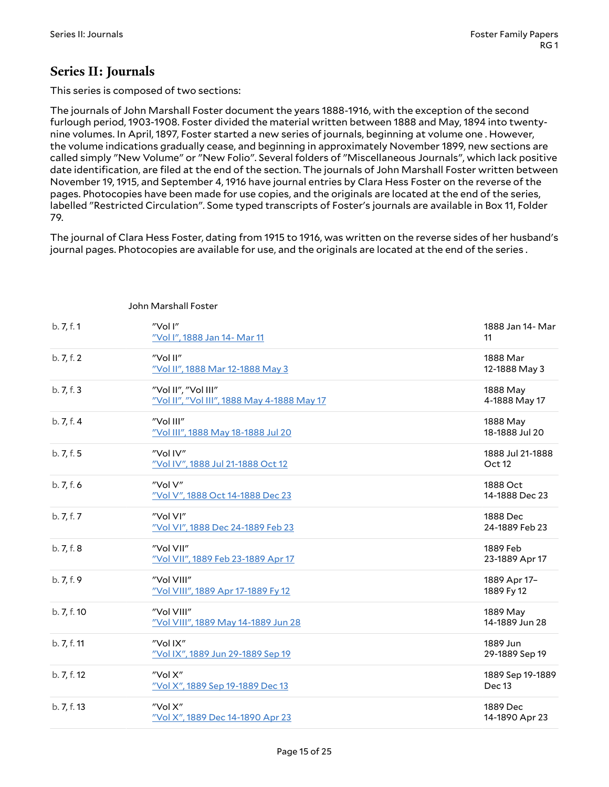### <span id="page-14-0"></span>**Series II: Journals**

This series is composed of two sections:

The journals of John Marshall Foster document the years 1888-1916, with the exception of the second furlough period, 1903-1908. Foster divided the material written between 1888 and May, 1894 into twentynine volumes. In April, 1897, Foster started a new series of journals, beginning at volume one . However, the volume indications gradually cease, and beginning in approximately November 1899, new sections are called simply "New Volume" or "New Folio". Several folders of "Miscellaneous Journals", which lack positive date identification, are filed at the end of the section. The journals of John Marshall Foster written between November 19, 1915, and September 4, 1916 have journal entries by Clara Hess Foster on the reverse of the pages. Photocopies have been made for use copies, and the originals are located at the end of the series, labelled "Restricted Circulation". Some typed transcripts of Foster's journals are available in Box 11, Folder 79.

The journal of Clara Hess Foster, dating from 1915 to 1916, was written on the reverse sides of her husband's journal pages. Photocopies are available for use, and the originals are located at the end of the series .

| b.7, f.1    | "Vol I"<br>"Vol I", 1888 Jan 14- Mar 11                            | 1888 Jan 14- Mar<br>11                |
|-------------|--------------------------------------------------------------------|---------------------------------------|
| b. 7, f. 2  | "Vol II"<br>"Vol II", 1888 Mar 12-1888 May 3                       | 1888 Mar<br>12-1888 May 3             |
| b.7, f.3    | "Vol II", "Vol III"<br>"Vol II", "Vol III", 1888 May 4-1888 May 17 | 1888 May<br>4-1888 May 17             |
| b. 7, f. 4  | "Vol III"<br>"Vol III", 1888 May 18-1888 Jul 20                    | 1888 May<br>18-1888 Jul 20            |
| b.7, f.5    | "Vol IV"<br>"Vol IV", 1888 Jul 21-1888 Oct 12                      | 1888 Jul 21-1888<br>Oct <sub>12</sub> |
| b.7, f.6    | "Vol V"<br>"Vol V", 1888 Oct 14-1888 Dec 23                        | 1888 Oct<br>14-1888 Dec 23            |
| b. 7, f. 7  | "Vol VI"<br>"Vol VI", 1888 Dec 24-1889 Feb 23                      | 1888 Dec<br>24-1889 Feb 23            |
| b. 7, f. 8  | "Vol VII"<br>"Vol VII", 1889 Feb 23-1889 Apr 17                    | 1889 Feb<br>23-1889 Apr 17            |
| b. 7, f. 9  | "Vol VIII"<br>"Vol VIII", 1889 Apr 17-1889 Fy 12                   | 1889 Apr 17-<br>1889 Fy 12            |
| b. 7, f. 10 | "Vol VIII"<br>"Vol VIII", 1889 May 14-1889 Jun 28                  | 1889 May<br>14-1889 Jun 28            |
| b. 7, f. 11 | "Vol IX"<br>"Vol IX", 1889 Jun 29-1889 Sep 19                      | 1889 Jun<br>29-1889 Sep 19            |
| b. 7, f. 12 | "Vol X"<br>"Vol X", 1889 Sep 19-1889 Dec 13                        | 1889 Sep 19-1889<br>Dec 13            |
| b. 7, f. 13 | "Vol X"<br>"Vol X", 1889 Dec 14-1890 Apr 23                        | 1889 Dec<br>14-1890 Apr 23            |

#### <span id="page-14-1"></span>John Marshall Foster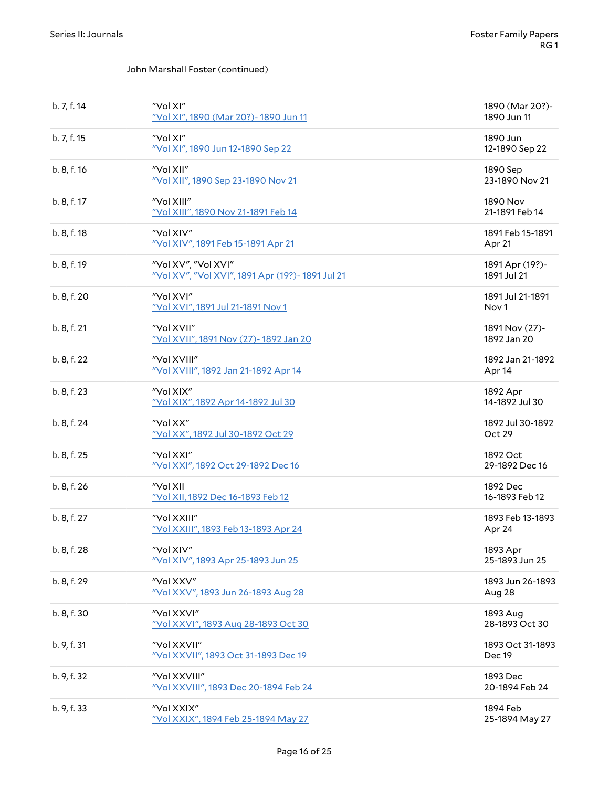#### John Marshall Foster (continued)

| b. 7, f. 14 | "Vol XI"<br>"Vol XI", 1890 (Mar 20?) - 1890 Jun 11                      | 1890 (Mar 20?)-<br>1890 Jun 11       |
|-------------|-------------------------------------------------------------------------|--------------------------------------|
| b. 7, f. 15 | "Vol XI"<br>"Vol XI", 1890 Jun 12-1890 Sep 22                           | 1890 Jun<br>12-1890 Sep 22           |
| b. 8, f. 16 | "Vol XII"<br>"Vol XII", 1890 Sep 23-1890 Nov 21                         | 1890 Sep<br>23-1890 Nov 21           |
| b. 8, f. 17 | "Vol XIII"<br>"Vol XIII", 1890 Nov 21-1891 Feb 14                       | 1890 Nov<br>21-1891 Feb 14           |
| b. 8, f. 18 | "Vol XIV"<br>"Vol XIV", 1891 Feb 15-1891 Apr 21                         | 1891 Feb 15-1891<br>Apr 21           |
| b. 8, f. 19 | "Vol XV", "Vol XVI"<br>"Vol XV", "Vol XVI", 1891 Apr (19?)- 1891 Jul 21 | 1891 Apr (19?)-<br>1891 Jul 21       |
| b. 8, f. 20 | "Vol XVI"<br>"Vol XVI", 1891 Jul 21-1891 Nov 1                          | 1891 Jul 21-1891<br>Nov <sub>1</sub> |
| b. 8, f. 21 | "Vol XVII"<br>"Vol XVII", 1891 Nov (27)- 1892 Jan 20                    | 1891 Nov (27)-<br>1892 Jan 20        |
| b. 8, f. 22 | "Vol XVIII"<br>"Vol XVIII", 1892 Jan 21-1892 Apr 14                     | 1892 Jan 21-1892<br>Apr 14           |
| b. 8, f. 23 | "Vol XIX"<br>"Vol XIX", 1892 Apr 14-1892 Jul 30                         | 1892 Apr<br>14-1892 Jul 30           |
| b. 8, f. 24 | "Vol XX"<br>"Vol XX", 1892 Jul 30-1892 Oct 29                           | 1892 Jul 30-1892<br>Oct 29           |
| b. 8, f. 25 | "Vol XXI"<br>"Vol XXI", 1892 Oct 29-1892 Dec 16                         | 1892 Oct<br>29-1892 Dec 16           |
| b. 8, f. 26 | "Vol XII<br>"Vol XII, 1892 Dec 16-1893 Feb 12                           | 1892 Dec<br>16-1893 Feb 12           |
| b. 8, f. 27 | "Vol XXIII"<br>"Vol XXIII", 1893 Feb 13-1893 Apr 24                     | 1893 Feb 13-1893<br>Apr 24           |
| b. 8, f. 28 | "Vol XIV"<br>"Vol XIV", 1893 Apr 25-1893 Jun 25                         | 1893 Apr<br>25-1893 Jun 25           |
| b. 8, f. 29 | "Vol XXV"<br>"Vol XXV", 1893 Jun 26-1893 Aug 28                         | 1893 Jun 26-1893<br>Aug 28           |
| b. 8, f. 30 | "Vol XXVI"<br>"Vol XXVI", 1893 Aug 28-1893 Oct 30                       | 1893 Aug<br>28-1893 Oct 30           |
| b. 9, f. 31 | "Vol XXVII"<br>"Vol XXVII", 1893 Oct 31-1893 Dec 19                     | 1893 Oct 31-1893<br>Dec 19           |
| b. 9, f. 32 | "Vol XXVIII"<br>"Vol XXVIII", 1893 Dec 20-1894 Feb 24                   | 1893 Dec<br>20-1894 Feb 24           |
| b. 9, f. 33 | "Vol XXIX"<br>"Vol XXIX", 1894 Feb 25-1894 May 27                       | 1894 Feb<br>25-1894 May 27           |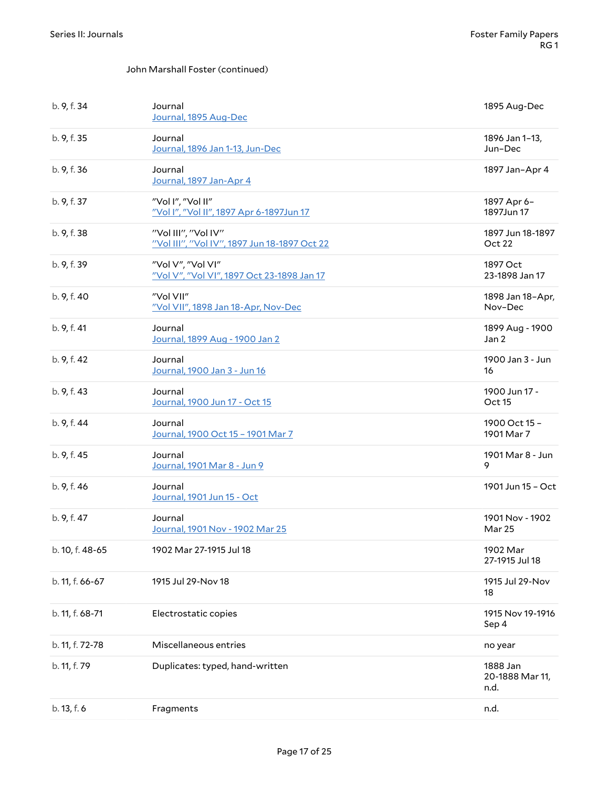#### John Marshall Foster (continued)

| b. 9, f. 34     | Journal<br>Journal, 1895 Aug-Dec                                    | 1895 Aug-Dec                        |
|-----------------|---------------------------------------------------------------------|-------------------------------------|
| b. 9, f. 35     | Journal<br>Journal, 1896 Jan 1-13, Jun-Dec                          | 1896 Jan 1-13,<br>Jun-Dec           |
| b. 9, f. 36     | Journal<br>Journal, 1897 Jan-Apr 4                                  | 1897 Jan-Apr 4                      |
| b. 9, f. 37     | "Vol I", "Vol II"<br>"Vol I", "Vol II", 1897 Apr 6-1897Jun 17       | 1897 Apr 6-<br>1897Jun 17           |
| b. 9, f. 38     | "Vol III", "Vol IV"<br>"Vol III", "Vol IV", 1897 Jun 18-1897 Oct 22 | 1897 Jun 18-1897<br>Oct 22          |
| b. 9, f. 39     | "Vol V", "Vol VI"<br>"Vol V", "Vol VI", 1897 Oct 23-1898 Jan 17     | 1897 Oct<br>23-1898 Jan 17          |
| b. 9, f. 40     | "Vol VII"<br>"Vol VII", 1898 Jan 18-Apr, Nov-Dec                    | 1898 Jan 18-Apr,<br>Nov-Dec         |
| b. 9, f. 41     | Journal<br>Journal, 1899 Aug - 1900 Jan 2                           | 1899 Aug - 1900<br>Jan <sub>2</sub> |
| b. 9, f. 42     | Journal<br>Journal, 1900 Jan 3 - Jun 16                             | 1900 Jan 3 - Jun<br>16              |
| b. 9, f. 43     | Journal<br>Journal, 1900 Jun 17 - Oct 15                            | 1900 Jun 17 -<br>Oct 15             |
| b. 9, f. 44     | Journal<br>Journal, 1900 Oct 15 - 1901 Mar 7                        | 1900 Oct 15 -<br>1901 Mar 7         |
| b. 9, f. 45     | Journal<br>Journal, 1901 Mar 8 - Jun 9                              | 1901 Mar 8 - Jun<br>9               |
| b. 9, f. 46     | Journal<br>Journal, 1901 Jun 15 - Oct                               | 1901 Jun 15 - Oct                   |
| b. 9, f. 47     | Journal<br>Journal, 1901 Nov - 1902 Mar 25                          | 1901 Nov - 1902<br>Mar 25           |
| b. 10, f. 48-65 | 1902 Mar 27-1915 Jul 18                                             | 1902 Mar<br>27-1915 Jul 18          |
| b. 11, f. 66-67 | 1915 Jul 29-Nov 18                                                  | 1915 Jul 29-Nov<br>18               |
| b. 11, f. 68-71 | Electrostatic copies                                                | 1915 Nov 19-1916<br>Sep 4           |
| b. 11, f. 72-78 | Miscellaneous entries                                               | no year                             |
| b. 11, f. 79    | Duplicates: typed, hand-written                                     | 1888 Jan<br>20-1888 Mar 11,<br>n.d. |
| b. 13, f. 6     | Fragments                                                           | n.d.                                |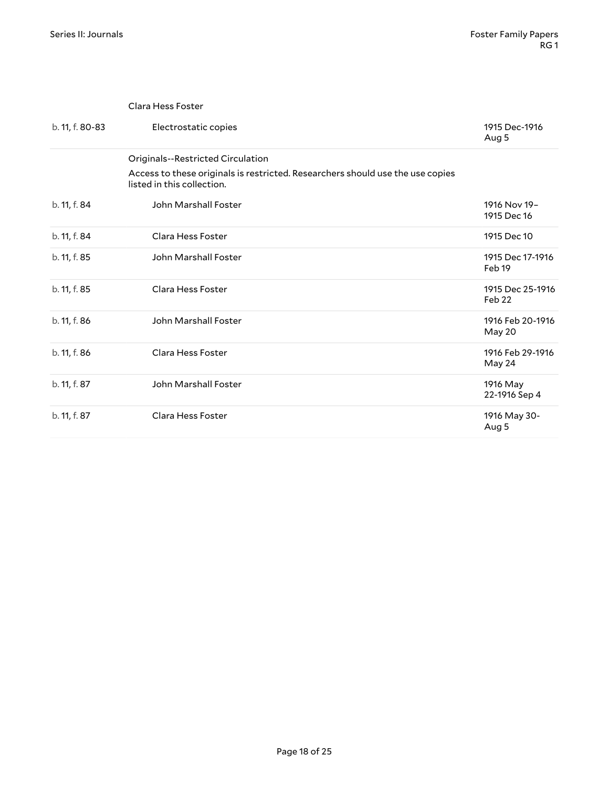<span id="page-17-1"></span><span id="page-17-0"></span>

|                 | Clara Hess Foster                                                                                            |                                       |
|-----------------|--------------------------------------------------------------------------------------------------------------|---------------------------------------|
| b. 11, f. 80-83 | Electrostatic copies                                                                                         | 1915 Dec-1916<br>Aug 5                |
|                 | Originals--Restricted Circulation                                                                            |                                       |
|                 | Access to these originals is restricted. Researchers should use the use copies<br>listed in this collection. |                                       |
| b. 11, f. 84    | John Marshall Foster                                                                                         | 1916 Nov 19-<br>1915 Dec 16           |
| b. 11, f. 84    | Clara Hess Foster                                                                                            | 1915 Dec 10                           |
| b. 11, f. 85    | John Marshall Foster                                                                                         | 1915 Dec 17-1916<br>Feb <sub>19</sub> |
| b. 11, f. 85    | Clara Hess Foster                                                                                            | 1915 Dec 25-1916<br>Feb <sub>22</sub> |
| b. 11, f. 86    | John Marshall Foster                                                                                         | 1916 Feb 20-1916<br>May 20            |
| b. 11, f. 86    | Clara Hess Foster                                                                                            | 1916 Feb 29-1916<br>May 24            |
| b. 11, f. 87    | John Marshall Foster                                                                                         | 1916 May<br>22-1916 Sep 4             |
| b. 11, f. 87    | Clara Hess Foster                                                                                            | 1916 May 30-<br>Aug 5                 |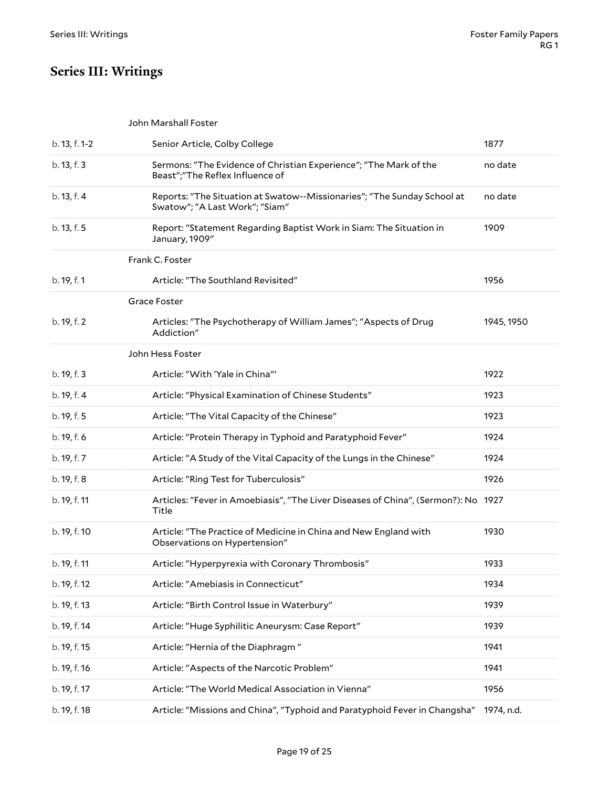# <span id="page-18-0"></span>**Series III: Writings**

<span id="page-18-4"></span><span id="page-18-3"></span><span id="page-18-2"></span><span id="page-18-1"></span>

|               | John Marshall Foster                                                                                      |            |
|---------------|-----------------------------------------------------------------------------------------------------------|------------|
| b. 13, f. 1-2 | Senior Article, Colby College                                                                             | 1877       |
| b. 13, f. 3   | Sermons: "The Evidence of Christian Experience"; "The Mark of the<br>Beast";"The Reflex Influence of      | no date    |
| b. 13, f. 4   | Reports: "The Situation at Swatow--Missionaries"; "The Sunday School at<br>Swatow"; "A Last Work"; "Siam" | no date    |
| b. 13, f. 5   | Report: "Statement Regarding Baptist Work in Siam: The Situation in<br>January, 1909"                     | 1909       |
|               | Frank C. Foster                                                                                           |            |
| b. 19, f. 1   | Article: "The Southland Revisited"                                                                        | 1956       |
|               | Grace Foster                                                                                              |            |
| b. 19, f. 2   | Articles: "The Psychotherapy of William James"; "Aspects of Drug<br>Addiction"                            | 1945, 1950 |
|               | John Hess Foster                                                                                          |            |
| b. 19, f. 3   | Article: "With 'Yale in China"'                                                                           | 1922       |
| b. 19, f. 4   | Article: "Physical Examination of Chinese Students"                                                       | 1923       |
| b. 19, f. 5   | Article: "The Vital Capacity of the Chinese"                                                              | 1923       |
| b. 19, f. 6   | Article: "Protein Therapy in Typhoid and Paratyphoid Fever"                                               | 1924       |
| b. 19, f. 7   | Article: "A Study of the Vital Capacity of the Lungs in the Chinese"                                      | 1924       |
| b. 19, f. 8   | Article: "Ring Test for Tuberculosis"                                                                     | 1926       |
| b. 19, f. 11  | Articles: "Fever in Amoebiasis", "The Liver Diseases of China", (Sermon?): No 1927<br>Title               |            |
| b. 19, f. 10  | Article: "The Practice of Medicine in China and New England with<br>Observations on Hypertension"         | 1930       |
| b. 19, f. 11  | Article: "Hyperpyrexia with Coronary Thrombosis"                                                          | 1933       |
| b. 19, f. 12  | Article: "Amebiasis in Connecticut"                                                                       | 1934       |
| b. 19, f. 13  | Article: "Birth Control Issue in Waterbury"                                                               | 1939       |
| b. 19, f. 14  | Article: "Huge Syphilitic Aneurysm: Case Report"                                                          | 1939       |
| b. 19, f. 15  | Article: "Hernia of the Diaphragm"                                                                        | 1941       |
| b. 19, f. 16  | Article: "Aspects of the Narcotic Problem"                                                                | 1941       |
| b. 19, f. 17  | Article: "The World Medical Association in Vienna"                                                        | 1956       |
| b. 19, f. 18  | Article: "Missions and China", "Typhoid and Paratyphoid Fever in Changsha"                                | 1974, n.d. |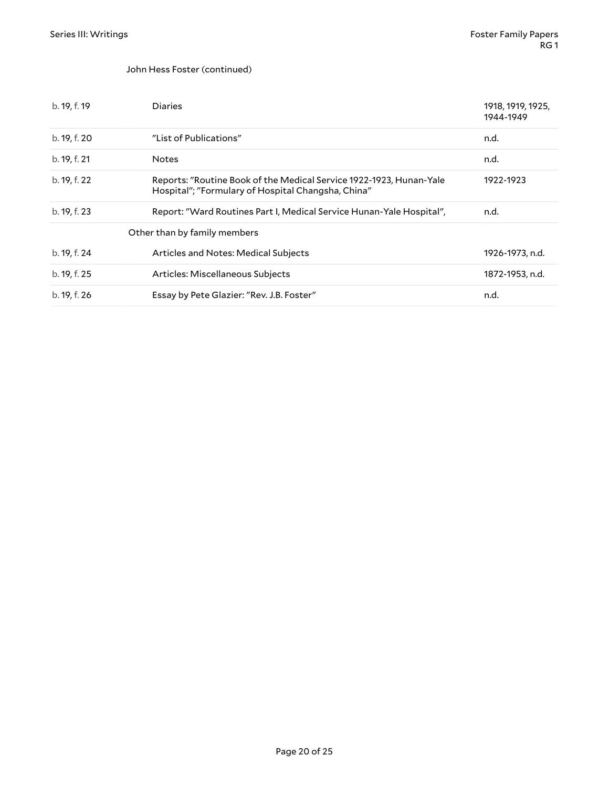#### John Hess Foster (continued)

<span id="page-19-0"></span>

| b. 19, f. 19 | <b>Diaries</b>                                                                                                            | 1918, 1919, 1925,<br>1944-1949 |
|--------------|---------------------------------------------------------------------------------------------------------------------------|--------------------------------|
| b. 19, f. 20 | "List of Publications"                                                                                                    | n.d.                           |
| b. 19, f. 21 | <b>Notes</b>                                                                                                              | n.d.                           |
| b. 19, f. 22 | Reports: "Routine Book of the Medical Service 1922-1923, Hunan-Yale<br>Hospital"; "Formulary of Hospital Changsha, China" | 1922-1923                      |
| b. 19, f. 23 | Report: "Ward Routines Part I, Medical Service Hunan-Yale Hospital",                                                      | n.d.                           |
|              | Other than by family members                                                                                              |                                |
| b. 19, f. 24 | Articles and Notes: Medical Subjects                                                                                      | 1926-1973, n.d.                |
| b. 19, f. 25 | Articles: Miscellaneous Subjects                                                                                          | 1872-1953, n.d.                |
| b. 19, f. 26 | Essay by Pete Glazier: "Rev. J.B. Foster"                                                                                 | n.d.                           |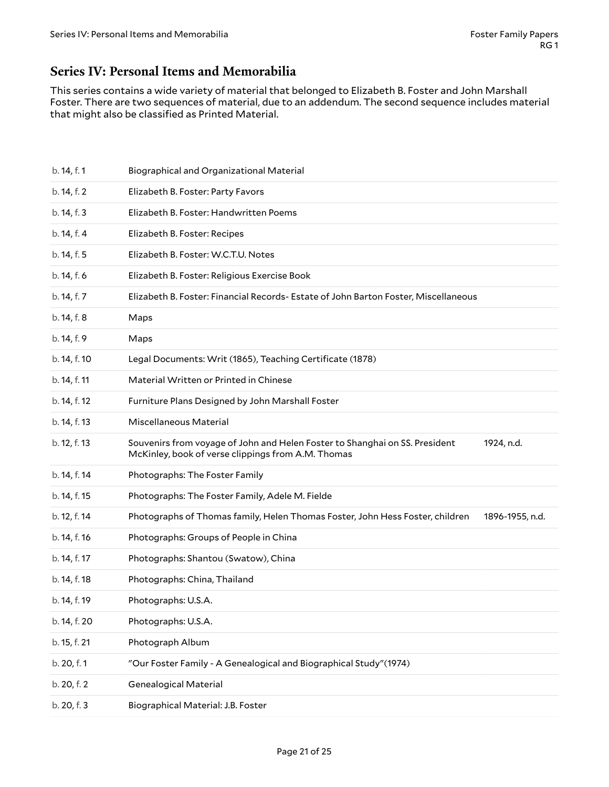### <span id="page-20-0"></span>**Series IV: Personal Items and Memorabilia**

This series contains a wide variety of material that belonged to Elizabeth B. Foster and John Marshall Foster. There are two sequences of material, due to an addendum. The second sequence includes material that might also be classified as Printed Material.

<span id="page-20-2"></span><span id="page-20-1"></span>

| b. 14, f. 1  | <b>Biographical and Organizational Material</b>                                                                                                 |  |
|--------------|-------------------------------------------------------------------------------------------------------------------------------------------------|--|
| b. 14, f. 2  | Elizabeth B. Foster: Party Favors                                                                                                               |  |
| b. 14, f. 3  | Elizabeth B. Foster: Handwritten Poems                                                                                                          |  |
| b. 14, f. 4  | Elizabeth B. Foster: Recipes                                                                                                                    |  |
| b. 14, f. 5  | Elizabeth B. Foster: W.C.T.U. Notes                                                                                                             |  |
| b. 14, f. 6  | Elizabeth B. Foster: Religious Exercise Book                                                                                                    |  |
| b. 14, f. 7  | Elizabeth B. Foster: Financial Records- Estate of John Barton Foster, Miscellaneous                                                             |  |
| b. 14, f. 8  | Maps                                                                                                                                            |  |
| b. 14, f. 9  | Maps                                                                                                                                            |  |
| b. 14, f. 10 | Legal Documents: Writ (1865), Teaching Certificate (1878)                                                                                       |  |
| b. 14, f. 11 | Material Written or Printed in Chinese                                                                                                          |  |
| b. 14, f. 12 | Furniture Plans Designed by John Marshall Foster                                                                                                |  |
| b. 14, f. 13 | Miscellaneous Material                                                                                                                          |  |
| b. 12, f. 13 | Souvenirs from voyage of John and Helen Foster to Shanghai on SS. President<br>1924, n.d.<br>McKinley, book of verse clippings from A.M. Thomas |  |
| b. 14, f. 14 | Photographs: The Foster Family                                                                                                                  |  |
| b. 14, f. 15 | Photographs: The Foster Family, Adele M. Fielde                                                                                                 |  |
| b. 12, f. 14 | Photographs of Thomas family, Helen Thomas Foster, John Hess Foster, children<br>1896-1955, n.d.                                                |  |
| b. 14, f. 16 | Photographs: Groups of People in China                                                                                                          |  |
| b. 14, f. 17 | Photographs: Shantou (Swatow), China                                                                                                            |  |
| b. 14, f. 18 | Photographs: China, Thailand                                                                                                                    |  |
| b. 14, f. 19 | Photographs: U.S.A.                                                                                                                             |  |
| b. 14, f. 20 | Photographs: U.S.A.                                                                                                                             |  |
| b. 15, f. 21 | Photograph Album                                                                                                                                |  |
| b. 20, f. 1  | "Our Foster Family - A Genealogical and Biographical Study"(1974)                                                                               |  |
| b. 20, f. 2  | <b>Genealogical Material</b>                                                                                                                    |  |
| b. 20, f. 3  | Biographical Material: J.B. Foster                                                                                                              |  |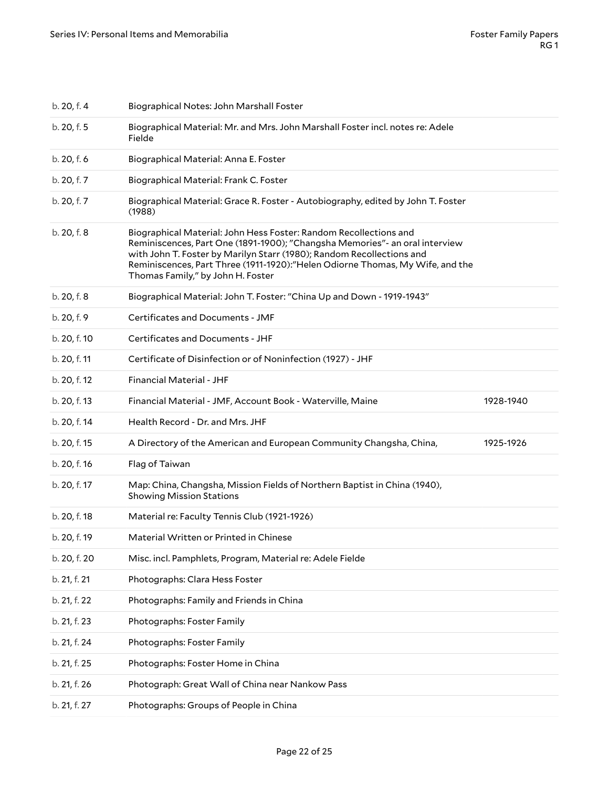| b. 20, f. 4  | Biographical Notes: John Marshall Foster                                                                                                                                                                                                                                                                                                        |           |
|--------------|-------------------------------------------------------------------------------------------------------------------------------------------------------------------------------------------------------------------------------------------------------------------------------------------------------------------------------------------------|-----------|
| b. 20, f. 5  | Biographical Material: Mr. and Mrs. John Marshall Foster incl. notes re: Adele<br>Fielde                                                                                                                                                                                                                                                        |           |
| b. 20, f. 6  | Biographical Material: Anna E. Foster                                                                                                                                                                                                                                                                                                           |           |
| b. 20, f. 7  | Biographical Material: Frank C. Foster                                                                                                                                                                                                                                                                                                          |           |
| b. 20, f. 7  | Biographical Material: Grace R. Foster - Autobiography, edited by John T. Foster<br>(1988)                                                                                                                                                                                                                                                      |           |
| b. 20, f. 8  | Biographical Material: John Hess Foster: Random Recollections and<br>Reminiscences, Part One (1891-1900); "Changsha Memories"- an oral interview<br>with John T. Foster by Marilyn Starr (1980); Random Recollections and<br>Reminiscences, Part Three (1911-1920):"Helen Odiorne Thomas, My Wife, and the<br>Thomas Family," by John H. Foster |           |
| b. 20, f. 8  | Biographical Material: John T. Foster: "China Up and Down - 1919-1943"                                                                                                                                                                                                                                                                          |           |
| b. 20, f. 9  | Certificates and Documents - JMF                                                                                                                                                                                                                                                                                                                |           |
| b. 20, f. 10 | Certificates and Documents - JHF                                                                                                                                                                                                                                                                                                                |           |
| b. 20, f. 11 | Certificate of Disinfection or of Noninfection (1927) - JHF                                                                                                                                                                                                                                                                                     |           |
| b. 20, f. 12 | <b>Financial Material - JHF</b>                                                                                                                                                                                                                                                                                                                 |           |
| b. 20, f. 13 | Financial Material - JMF, Account Book - Waterville, Maine                                                                                                                                                                                                                                                                                      | 1928-1940 |
| b. 20, f. 14 | Health Record - Dr. and Mrs. JHF                                                                                                                                                                                                                                                                                                                |           |
| b. 20, f. 15 | A Directory of the American and European Community Changsha, China,                                                                                                                                                                                                                                                                             | 1925-1926 |
| b. 20, f. 16 | Flag of Taiwan                                                                                                                                                                                                                                                                                                                                  |           |
| b. 20, f. 17 | Map: China, Changsha, Mission Fields of Northern Baptist in China (1940),<br><b>Showing Mission Stations</b>                                                                                                                                                                                                                                    |           |
| b. 20, f. 18 | Material re: Faculty Tennis Club (1921-1926)                                                                                                                                                                                                                                                                                                    |           |
| b. 20, f. 19 | Material Written or Printed in Chinese                                                                                                                                                                                                                                                                                                          |           |
| b. 20, f. 20 | Misc. incl. Pamphlets, Program, Material re: Adele Fielde                                                                                                                                                                                                                                                                                       |           |
| b. 21, f. 21 | Photographs: Clara Hess Foster                                                                                                                                                                                                                                                                                                                  |           |
| b. 21, f. 22 | Photographs: Family and Friends in China                                                                                                                                                                                                                                                                                                        |           |
| b. 21, f. 23 | Photographs: Foster Family                                                                                                                                                                                                                                                                                                                      |           |
| b. 21, f. 24 | Photographs: Foster Family                                                                                                                                                                                                                                                                                                                      |           |
| b. 21, f. 25 | Photographs: Foster Home in China                                                                                                                                                                                                                                                                                                               |           |
| b. 21, f. 26 | Photograph: Great Wall of China near Nankow Pass                                                                                                                                                                                                                                                                                                |           |
| b. 21, f. 27 | Photographs: Groups of People in China                                                                                                                                                                                                                                                                                                          |           |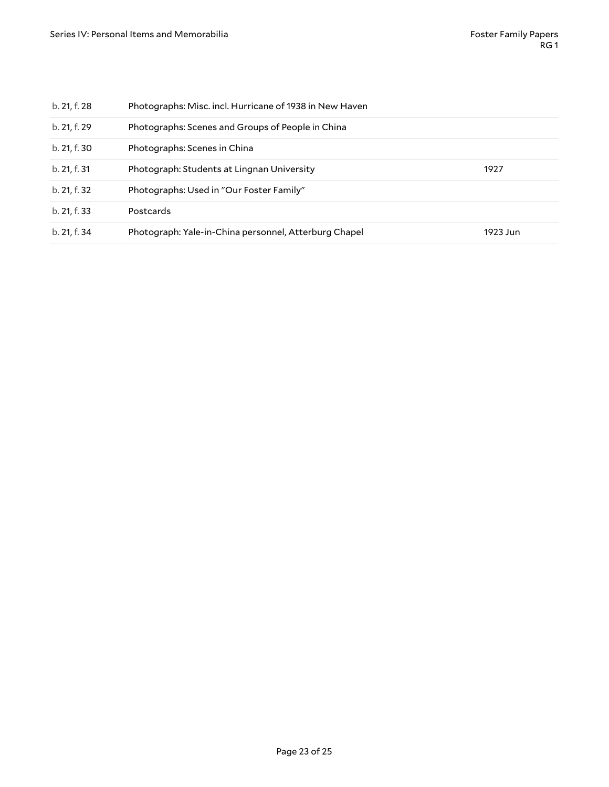| b. 21, f. 28 | Photographs: Misc. incl. Hurricane of 1938 in New Haven |          |
|--------------|---------------------------------------------------------|----------|
| b. 21, f. 29 | Photographs: Scenes and Groups of People in China       |          |
| b. 21, f. 30 | Photographs: Scenes in China                            |          |
| b. 21, f. 31 | Photograph: Students at Lingnan University              | 1927     |
| b. 21, f. 32 | Photographs: Used in "Our Foster Family"                |          |
| b. 21, f. 33 | Postcards                                               |          |
| b. 21, f. 34 | Photograph: Yale-in-China personnel, Atterburg Chapel   | 1923 Jun |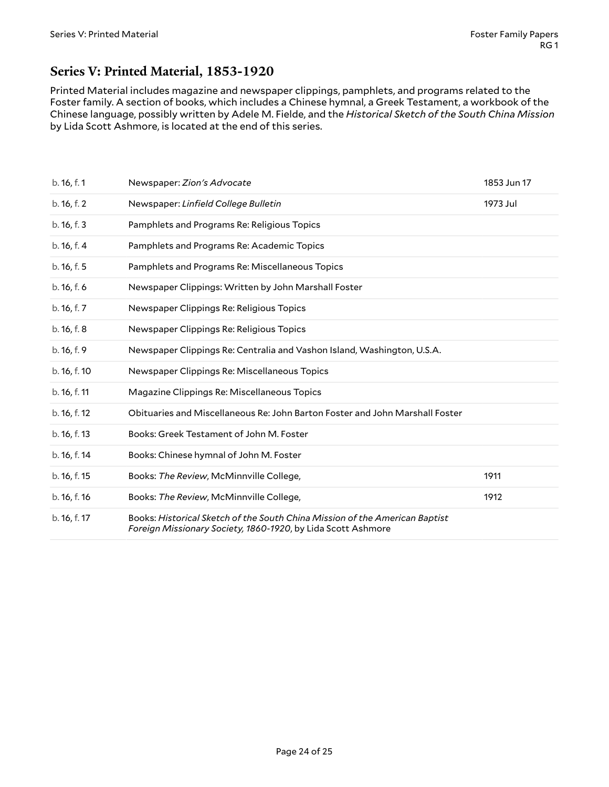### <span id="page-23-0"></span>**Series V: Printed Material, 1853-1920**

Printed Material includes magazine and newspaper clippings, pamphlets, and programs related to the Foster family. A section of books, which includes a Chinese hymnal, a Greek Testament, a workbook of the Chinese language, possibly written by Adele M. Fielde, and the *Historical Sketch of the South China Mission* by Lida Scott Ashmore, is located at the end of this series.

<span id="page-23-1"></span>

| b. 16, f. 1  | Newspaper: Zion's Advocate                                                                                                                  | 1853 Jun 17 |
|--------------|---------------------------------------------------------------------------------------------------------------------------------------------|-------------|
| b. 16, f. 2  | Newspaper: Linfield College Bulletin                                                                                                        | 1973 Jul    |
| b. 16, f. 3  | Pamphlets and Programs Re: Religious Topics                                                                                                 |             |
| b. 16, f. 4  | Pamphlets and Programs Re: Academic Topics                                                                                                  |             |
| b. 16, f. 5  | Pamphlets and Programs Re: Miscellaneous Topics                                                                                             |             |
| b. 16, f. 6  | Newspaper Clippings: Written by John Marshall Foster                                                                                        |             |
| b. 16, f. 7  | Newspaper Clippings Re: Religious Topics                                                                                                    |             |
| b. 16, f. 8  | Newspaper Clippings Re: Religious Topics                                                                                                    |             |
| b.16, f.9    | Newspaper Clippings Re: Centralia and Vashon Island, Washington, U.S.A.                                                                     |             |
| b. 16, f. 10 | Newspaper Clippings Re: Miscellaneous Topics                                                                                                |             |
| b. 16, f. 11 | Magazine Clippings Re: Miscellaneous Topics                                                                                                 |             |
| b. 16, f. 12 | Obituaries and Miscellaneous Re: John Barton Foster and John Marshall Foster                                                                |             |
| b. 16, f. 13 | Books: Greek Testament of John M. Foster                                                                                                    |             |
| b. 16, f. 14 | Books: Chinese hymnal of John M. Foster                                                                                                     |             |
| b. 16, f. 15 | Books: The Review, McMinnville College,                                                                                                     | 1911        |
| b. 16, f. 16 | Books: The Review, McMinnville College,                                                                                                     | 1912        |
| b. 16, f. 17 | Books: Historical Sketch of the South China Mission of the American Baptist<br>Foreign Missionary Society, 1860-1920, by Lida Scott Ashmore |             |